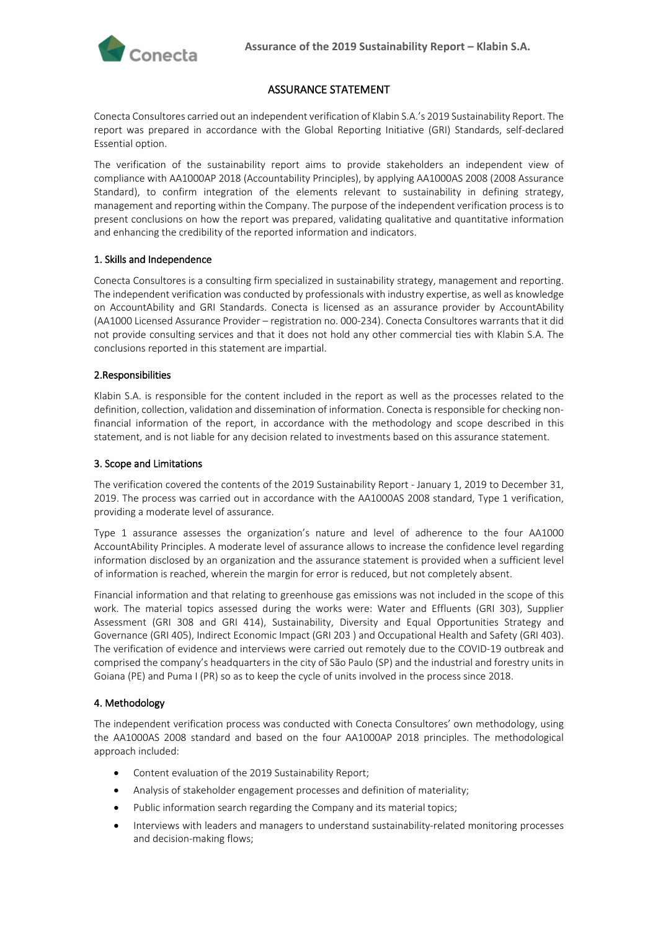

# ASSURANCE STATEMENT

Conecta Consultores carried out an independent verification of Klabin S.A.'s 2019 Sustainability Report. The report was prepared in accordance with the Global Reporting Initiative (GRI) Standards, self-declared Essential option.

The verification of the sustainability report aims to provide stakeholders an independent view of compliance with AA1000AP 2018 (Accountability Principles), by applying AA1000AS 2008 (2008 Assurance Standard), to confirm integration of the elements relevant to sustainability in defining strategy, management and reporting within the Company. The purpose of the independent verification process is to present conclusions on how the report was prepared, validating qualitative and quantitative information and enhancing the credibility of the reported information and indicators.

## 1. Skills and Independence

Conecta Consultores is a consulting firm specialized in sustainability strategy, management and reporting. The independent verification was conducted by professionals with industry expertise, as well as knowledge on AccountAbility and GRI Standards. Conecta is licensed as an assurance provider by AccountAbility (AA1000 Licensed Assurance Provider – registration no. 000-234). Conecta Consultores warrants that it did not provide consulting services and that it does not hold any other commercial ties with Klabin S.A. The conclusions reported in this statement are impartial.

## 2.Responsibilities

Klabin S.A. is responsible for the content included in the report as well as the processes related to the definition, collection, validation and dissemination of information. Conecta is responsible for checking nonfinancial information of the report, in accordance with the methodology and scope described in this statement, and is not liable for any decision related to investments based on this assurance statement.

### 3. Scope and Limitations

The verification covered the contents of the 2019 Sustainability Report - January 1, 2019 to December 31, 2019. The process was carried out in accordance with the AA1000AS 2008 standard, Type 1 verification, providing a moderate level of assurance.

Type 1 assurance assesses the organization's nature and level of adherence to the four AA1000 AccountAbility Principles. A moderate level of assurance allows to increase the confidence level regarding information disclosed by an organization and the assurance statement is provided when a sufficient level of information is reached, wherein the margin for error is reduced, but not completely absent.

Financial information and that relating to greenhouse gas emissions was not included in the scope of this work. The material topics assessed during the works were: Water and Effluents (GRI 303), Supplier Assessment (GRI 308 and GRI 414), Sustainability, Diversity and Equal Opportunities Strategy and Governance (GRI 405), Indirect Economic Impact (GRI 203 ) and Occupational Health and Safety (GRI 403). The verification of evidence and interviews were carried out remotely due to the COVID-19 outbreak and comprised the company's headquarters in the city of São Paulo (SP) and the industrial and forestry units in Goiana (PE) and Puma I (PR) so as to keep the cycle of units involved in the process since 2018.

### 4. Methodology

The independent verification process was conducted with Conecta Consultores' own methodology, using the AA1000AS 2008 standard and based on the four AA1000AP 2018 principles. The methodological approach included:

- Content evaluation of the 2019 Sustainability Report;
- Analysis of stakeholder engagement processes and definition of materiality;
- Public information search regarding the Company and its material topics;
- Interviews with leaders and managers to understand sustainability-related monitoring processes and decision-making flows;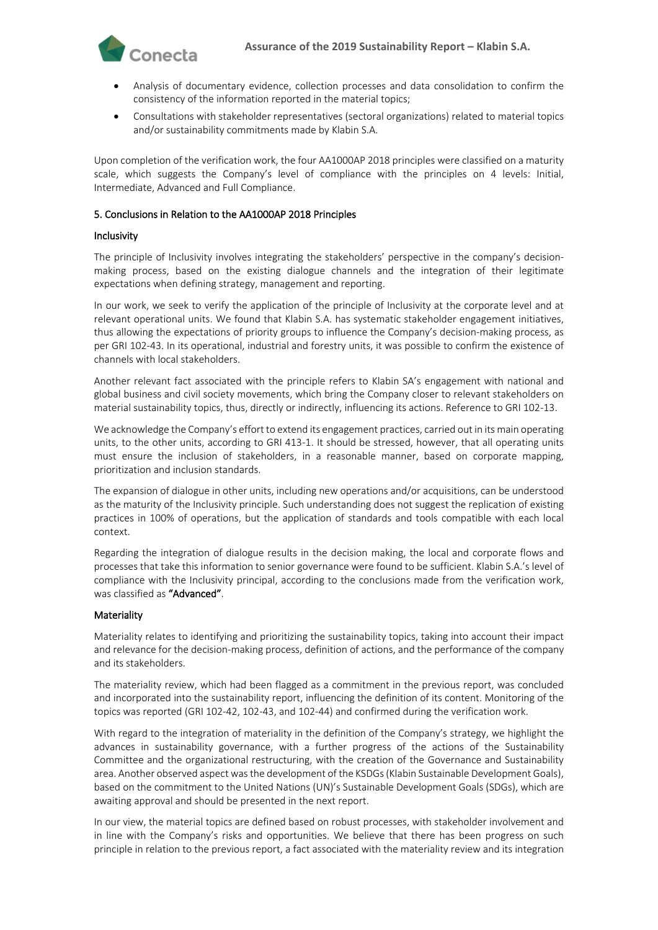

- Analysis of documentary evidence, collection processes and data consolidation to confirm the consistency of the information reported in the material topics;
- Consultations with stakeholder representatives (sectoral organizations) related to material topics and/or sustainability commitments made by Klabin S.A.

Upon completion of the verification work, the four AA1000AP 2018 principles were classified on a maturity scale, which suggests the Company's level of compliance with the principles on 4 levels: Initial, Intermediate, Advanced and Full Compliance.

## 5. Conclusions in Relation to the AA1000AP 2018 Principles

### Inclusivity

The principle of Inclusivity involves integrating the stakeholders' perspective in the company's decisionmaking process, based on the existing dialogue channels and the integration of their legitimate expectations when defining strategy, management and reporting.

In our work, we seek to verify the application of the principle of Inclusivity at the corporate level and at relevant operational units. We found that Klabin S.A. has systematic stakeholder engagement initiatives, thus allowing the expectations of priority groups to influence the Company's decision-making process, as per GRI 102-43. In its operational, industrial and forestry units, it was possible to confirm the existence of channels with local stakeholders.

Another relevant fact associated with the principle refers to Klabin SA's engagement with national and global business and civil society movements, which bring the Company closer to relevant stakeholders on material sustainability topics, thus, directly or indirectly, influencing its actions. Reference to GRI 102-13.

We acknowledge the Company's effort to extend its engagement practices, carried out in its main operating units, to the other units, according to GRI 413-1. It should be stressed, however, that all operating units must ensure the inclusion of stakeholders, in a reasonable manner, based on corporate mapping, prioritization and inclusion standards.

The expansion of dialogue in other units, including new operations and/or acquisitions, can be understood as the maturity of the Inclusivity principle. Such understanding does not suggest the replication of existing practices in 100% of operations, but the application of standards and tools compatible with each local context.

Regarding the integration of dialogue results in the decision making, the local and corporate flows and processes that take this information to senior governance were found to be sufficient. Klabin S.A.'s level of compliance with the Inclusivity principal, according to the conclusions made from the verification work, was classified as "Advanced".

### **Materiality**

Materiality relates to identifying and prioritizing the sustainability topics, taking into account their impact and relevance for the decision-making process, definition of actions, and the performance of the company and its stakeholders.

The materiality review, which had been flagged as a commitment in the previous report, was concluded and incorporated into the sustainability report, influencing the definition of its content. Monitoring of the topics was reported (GRI 102-42, 102-43, and 102-44) and confirmed during the verification work.

With regard to the integration of materiality in the definition of the Company's strategy, we highlight the advances in sustainability governance, with a further progress of the actions of the Sustainability Committee and the organizational restructuring, with the creation of the Governance and Sustainability area. Another observed aspect was the development of the KSDGs (Klabin Sustainable Development Goals), based on the commitment to the United Nations (UN)'s Sustainable Development Goals (SDGs), which are awaiting approval and should be presented in the next report.

In our view, the material topics are defined based on robust processes, with stakeholder involvement and in line with the Company's risks and opportunities. We believe that there has been progress on such principle in relation to the previous report, a fact associated with the materiality review and its integration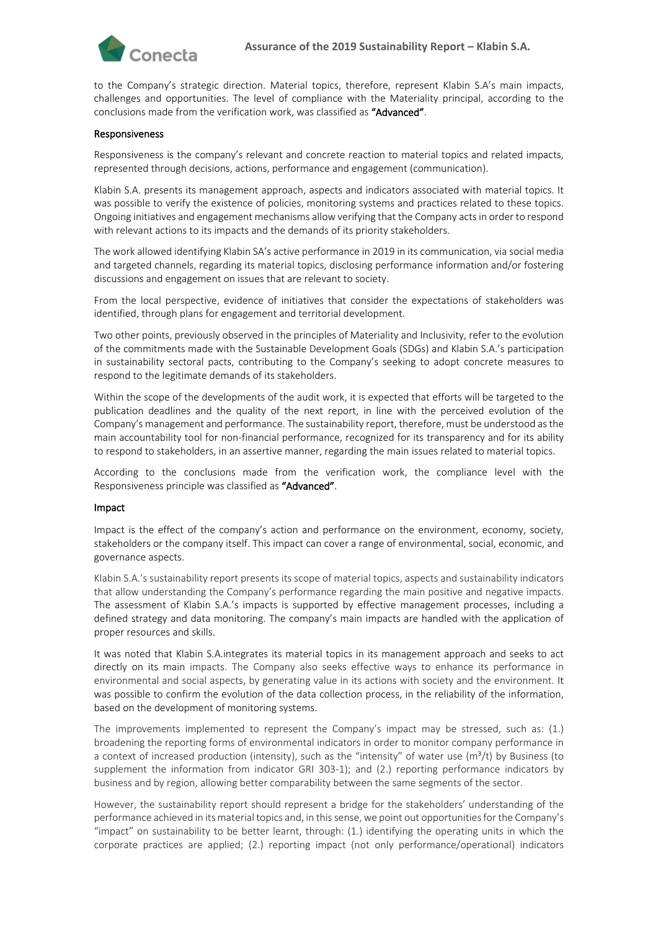

to the Company's strategic direction. Material topics, therefore, represent Klabin S.A's main impacts, challenges and opportunities. The level of compliance with the Materiality principal, according to the conclusions made from the verification work, was classified as "Advanced".

#### Responsiveness

Responsiveness is the company's relevant and concrete reaction to material topics and related impacts, represented through decisions, actions, performance and engagement (communication).

Klabin S.A. presents its management approach, aspects and indicators associated with material topics. It was possible to verify the existence of policies, monitoring systems and practices related to these topics. Ongoing initiatives and engagement mechanisms allow verifying that the Company acts in order to respond with relevant actions to its impacts and the demands of its priority stakeholders.

The work allowed identifying Klabin SA's active performance in 2019 in its communication, via social media and targeted channels, regarding its material topics, disclosing performance information and/or fostering discussions and engagement on issues that are relevant to society.

From the local perspective, evidence of initiatives that consider the expectations of stakeholders was identified, through plans for engagement and territorial development.

Two other points, previously observed in the principles of Materiality and Inclusivity, refer to the evolution of the commitments made with the Sustainable Development Goals (SDGs) and Klabin S.A.'s participation in sustainability sectoral pacts, contributing to the Company's seeking to adopt concrete measures to respond to the legitimate demands of its stakeholders.

Within the scope of the developments of the audit work, it is expected that efforts will be targeted to the publication deadlines and the quality of the next report, in line with the perceived evolution of the Company's management and performance. The sustainability report, therefore, must be understood as the main accountability tool for non-financial performance, recognized for its transparency and for its ability to respond to stakeholders, in an assertive manner, regarding the main issues related to material topics.

According to the conclusions made from the verification work, the compliance level with the Responsiveness principle was classified as "Advanced".

#### Impact

Impact is the effect of the company's action and performance on the environment, economy, society, stakeholders or the company itself. This impact can cover a range of environmental, social, economic, and governance aspects.

Klabin S.A.'s sustainability report presents its scope of material topics, aspects and sustainability indicators that allow understanding the Company's performance regarding the main positive and negative impacts. The assessment of Klabin S.A.'s impacts is supported by effective management processes, including a defined strategy and data monitoring. The company's main impacts are handled with the application of proper resources and skills.

It was noted that Klabin S.A.integrates its material topics in its management approach and seeks to act directly on its main impacts. The Company also seeks effective ways to enhance its performance in environmental and social aspects, by generating value in its actions with society and the environment. It was possible to confirm the evolution of the data collection process, in the reliability of the information, based on the development of monitoring systems.

The improvements implemented to represent the Company's impact may be stressed, such as: (1.) broadening the reporting forms of environmental indicators in order to monitor company performance in a context of increased production (intensity), such as the "intensity" of water use  $(m^3/t)$  by Business (to supplement the information from indicator GRI 303-1); and (2.) reporting performance indicators by business and by region, allowing better comparability between the same segments of the sector.

However, the sustainability report should represent a bridge for the stakeholders' understanding of the performance achieved in its material topics and, in this sense, we point out opportunities for the Company's "impact" on sustainability to be better learnt, through: (1.) identifying the operating units in which the corporate practices are applied; (2.) reporting impact (not only performance/operational) indicators